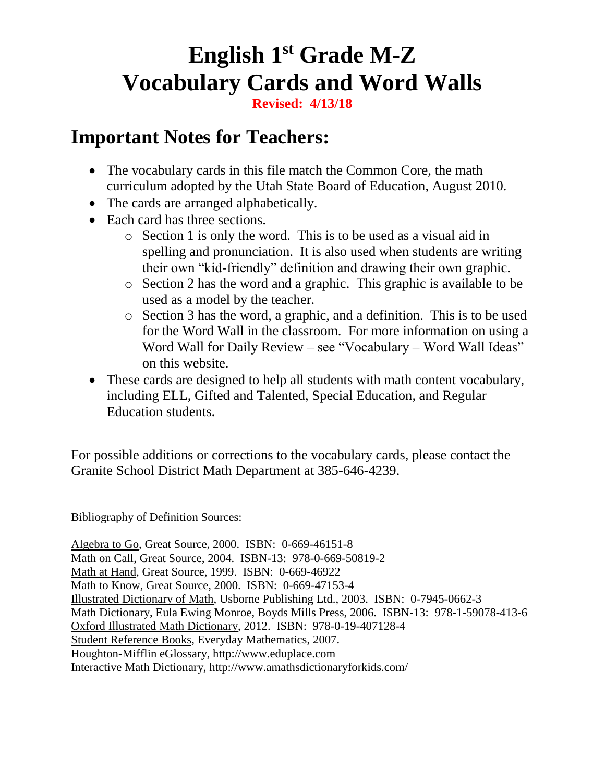#### **English 1st Grade M-Z Vocabulary Cards and Word Walls**

**Revised: 4/13/18**

#### **Important Notes for Teachers:**

- The vocabulary cards in this file match the Common Core, the math curriculum adopted by the Utah State Board of Education, August 2010.
- The cards are arranged alphabetically.
- Each card has three sections.
	- o Section 1 is only the word. This is to be used as a visual aid in spelling and pronunciation. It is also used when students are writing their own "kid-friendly" definition and drawing their own graphic.
	- o Section 2 has the word and a graphic. This graphic is available to be used as a model by the teacher.
	- o Section 3 has the word, a graphic, and a definition. This is to be used for the Word Wall in the classroom. For more information on using a Word Wall for Daily Review – see "Vocabulary – Word Wall Ideas" on this website.
- These cards are designed to help all students with math content vocabulary, including ELL, Gifted and Talented, Special Education, and Regular Education students.

For possible additions or corrections to the vocabulary cards, please contact the Granite School District Math Department at 385-646-4239.

Bibliography of Definition Sources:

Algebra to Go, Great Source, 2000. ISBN: 0-669-46151-8 Math on Call, Great Source, 2004. ISBN-13: 978-0-669-50819-2 Math at Hand, Great Source, 1999. ISBN: 0-669-46922 Math to Know, Great Source, 2000. ISBN: 0-669-47153-4 Illustrated Dictionary of Math, Usborne Publishing Ltd., 2003. ISBN: 0-7945-0662-3 Math Dictionary, Eula Ewing Monroe, Boyds Mills Press, 2006. ISBN-13: 978-1-59078-413-6 Oxford Illustrated Math Dictionary, 2012. ISBN: 978-0-19-407128-4 Student Reference Books, Everyday Mathematics, 2007. Houghton-Mifflin eGlossary, http:/[/www.eduplace.com](http://www.eduplace.com/) Interactive Math Dictionary, http://www.amathsdictionaryforkids.com/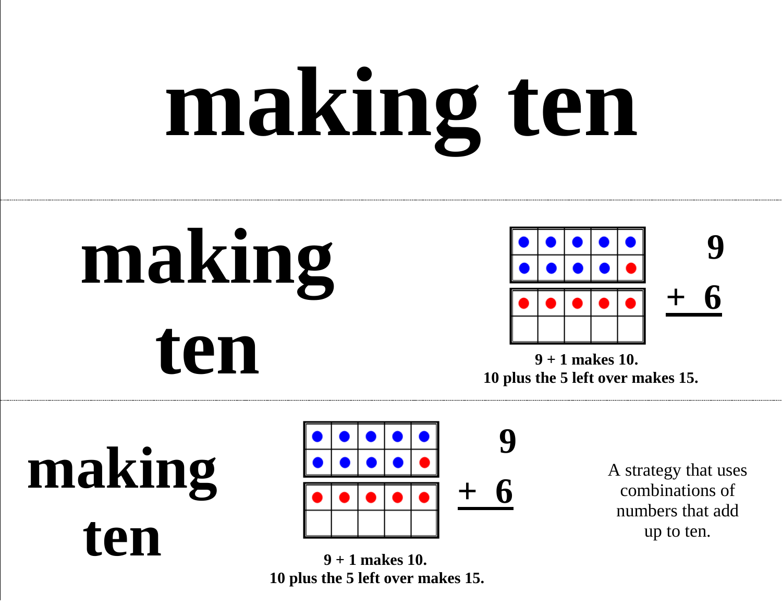# **making ten**

### **making**   $\sum_{9 + 1 \text{ makes 10.}}$



 **10 plus the 5 left over makes 15.** 

**making**   $ten$   $\frac{1}{9 + 1 \text{ makes } 10.}$ 



 **10 plus the 5 left over makes 15.** 

A strategy that uses combinations of numbers that add up to ten.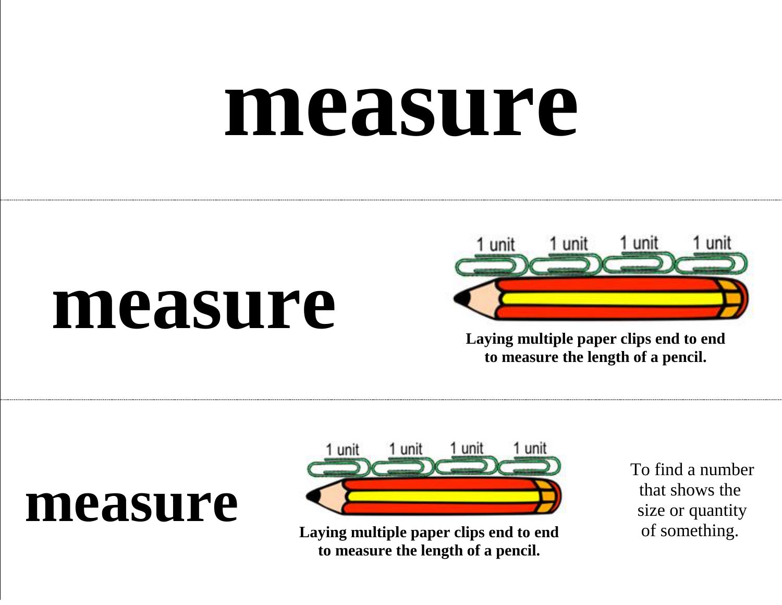### **measure**

#### **measure**



**Laying multiple paper clips end to end to measure the length of a pencil.**

#### **measure**



**Laying multiple paper clips end to end to measure the length of a pencil.**

To find a number that shows the size or quantity of something.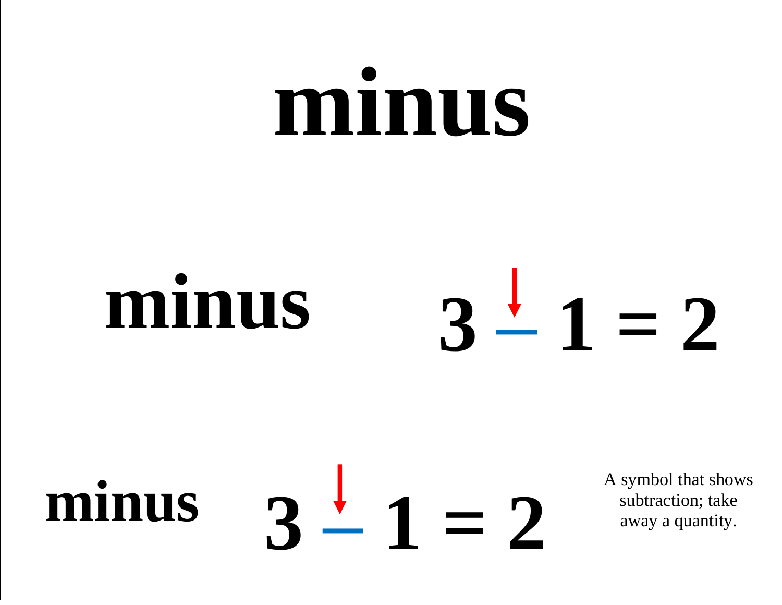### **minus**

#### **minus**  $3 - 1 = 2$

#### minus a symbol that shows<br>away a quantity.  $3 - 1 = 2$

subtraction; take away a quantity.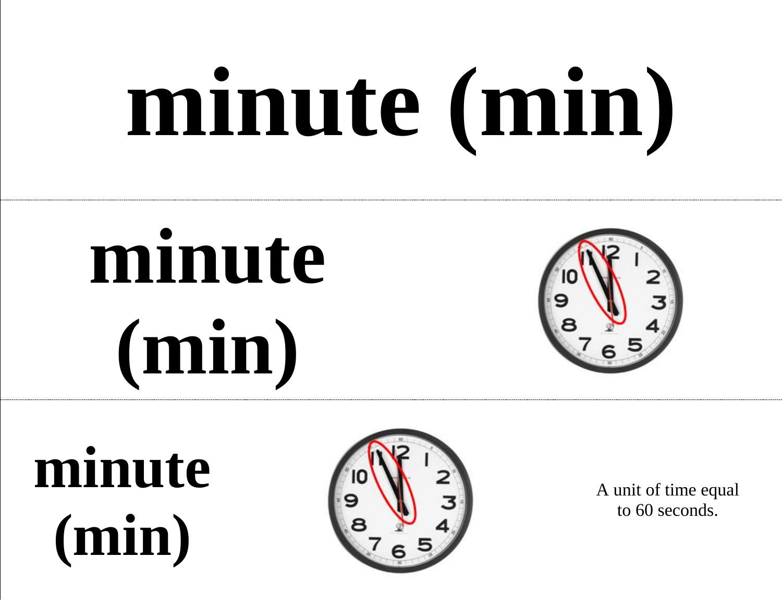## **minute (min)**

### **minute (min)**



**minute (min)**



A unit of time equal to 60 seconds.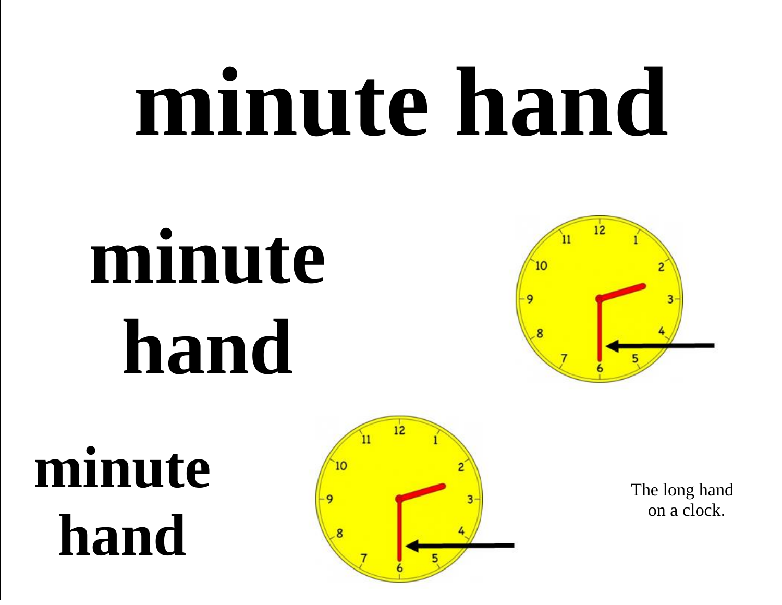### **minute hand**

### **minute hand**



**minute hand**



 The long hand on a clock.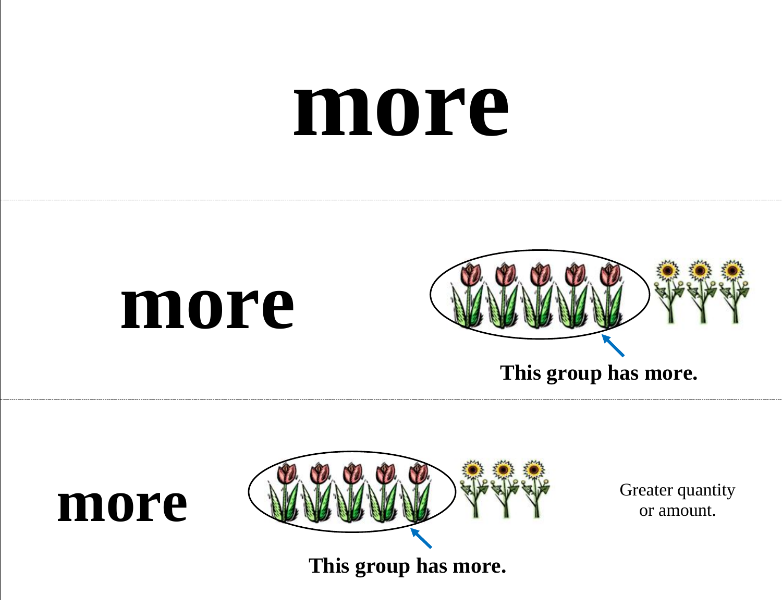#### **more**







or amount.

**This group has more.**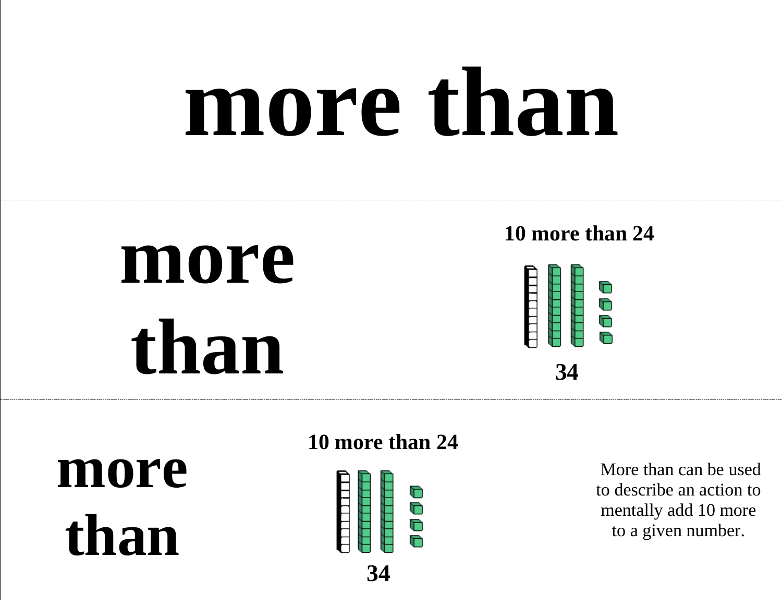### **more than**

### **more than**

#### **10 more than 24**



**more than**

**10 more than 24** 



More than can be used to describe an action to mentally add 10 more to a given number.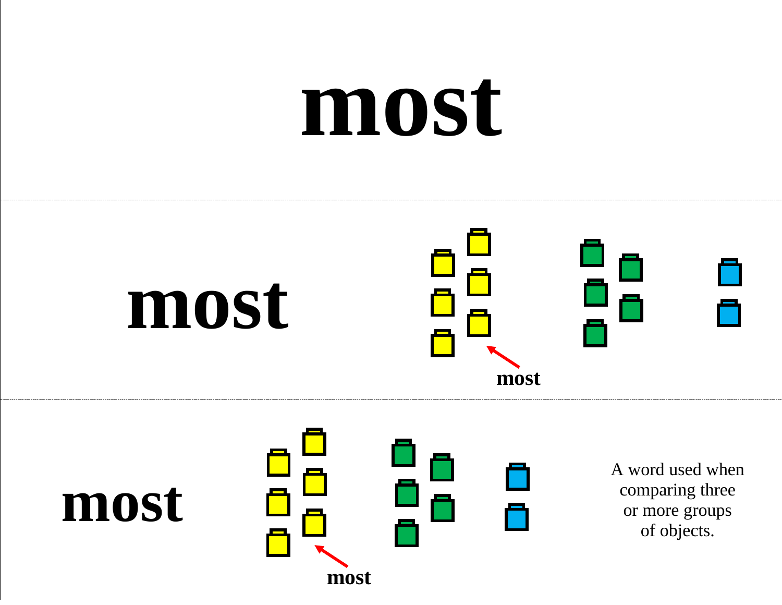### **most**





**most**

A word used when comparing three or more groups of objects.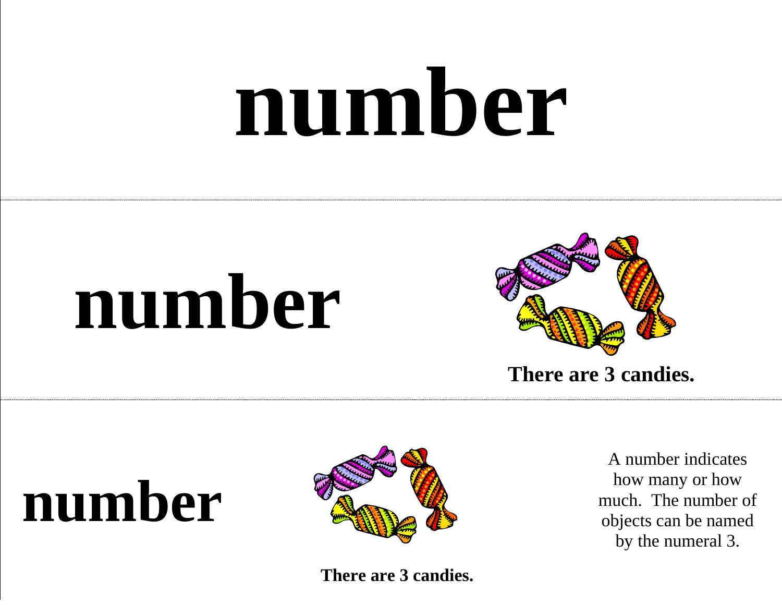### **number**

### **number**



**There are 3 candies.** 

#### **number**



**There are 3 candies.** 

A number indicates how many or how much. The number of objects can be named by the numeral 3.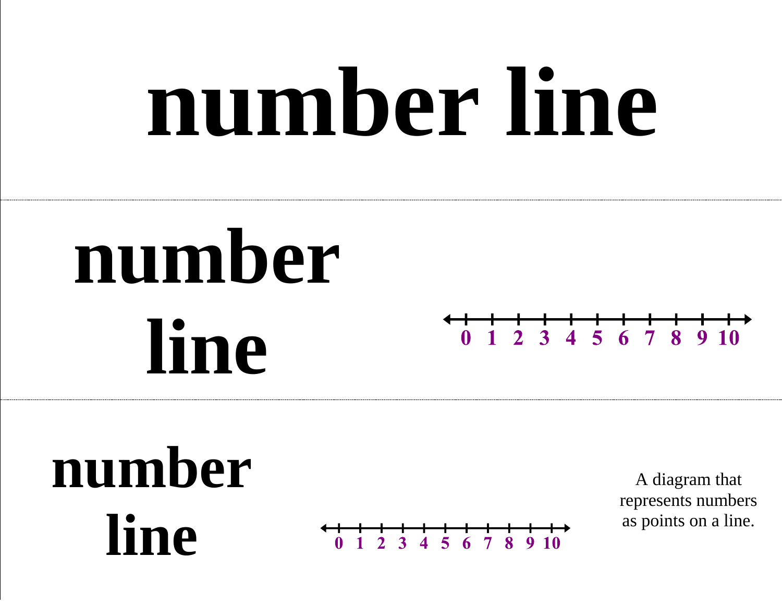### **number line**

### **number line**





 $5\,6$  $\overline{7}$ 

A diagram that represents numbers as points on a line.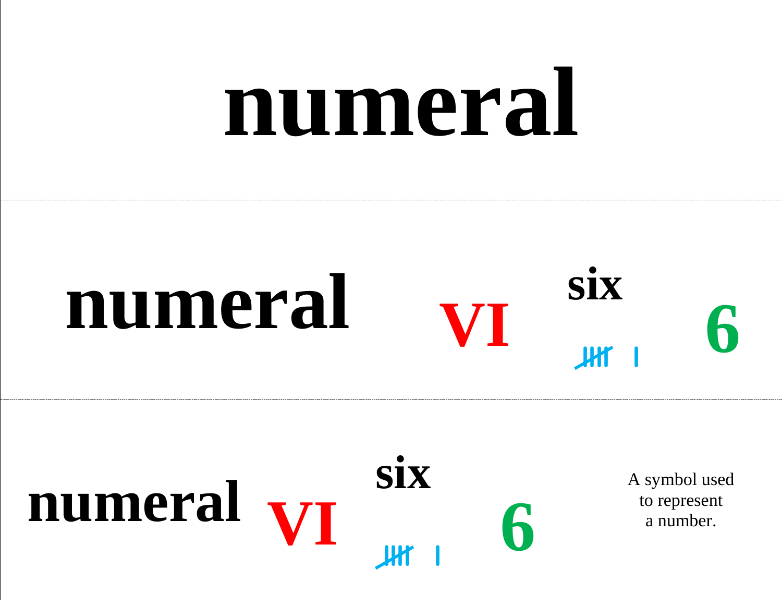### **numeral**





to represent a number.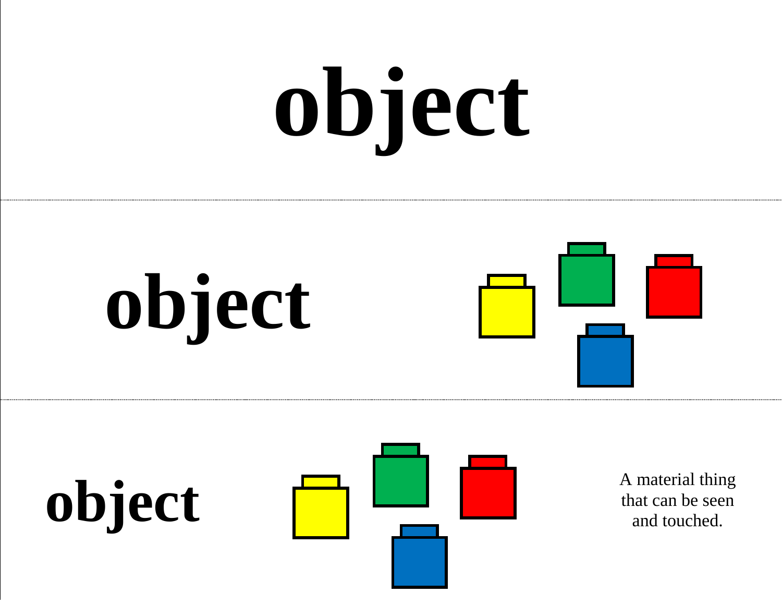# **object**







that can be seen and touched.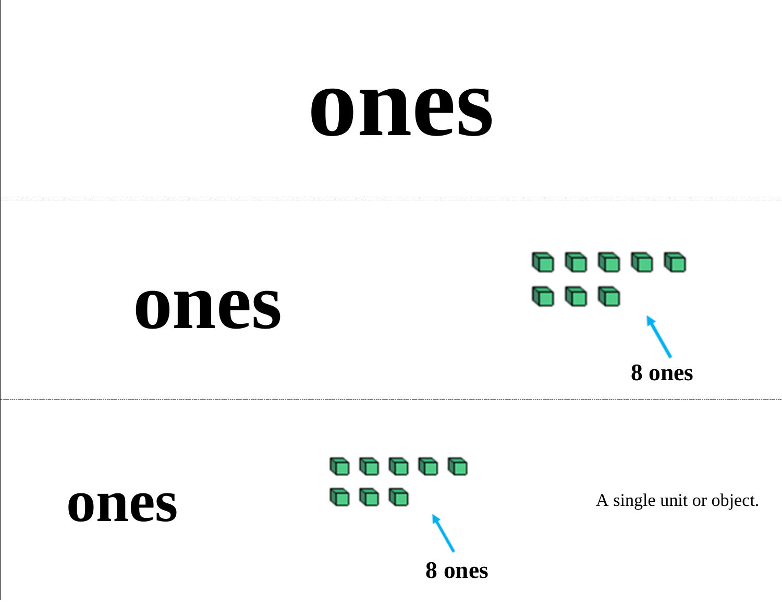#### **ones**



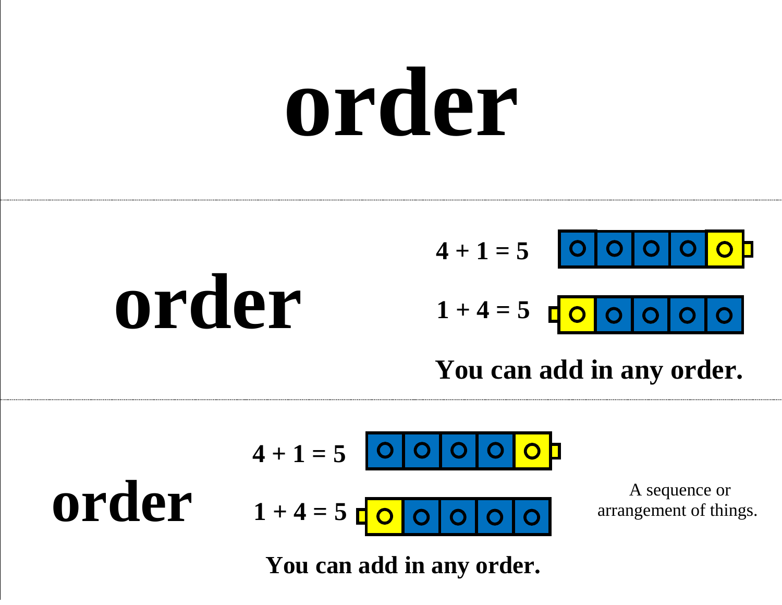### **order**

#### **order**  $4 + 1 = 5$  $1 + 4 = 5$

#### **You can add in any order.**

$$
4 + 1 = 5
$$
 **o o o o o o**  
0 **r h** sequence or  
0 **r h** sequence or  
arrangement of things.

**You can add in any order.**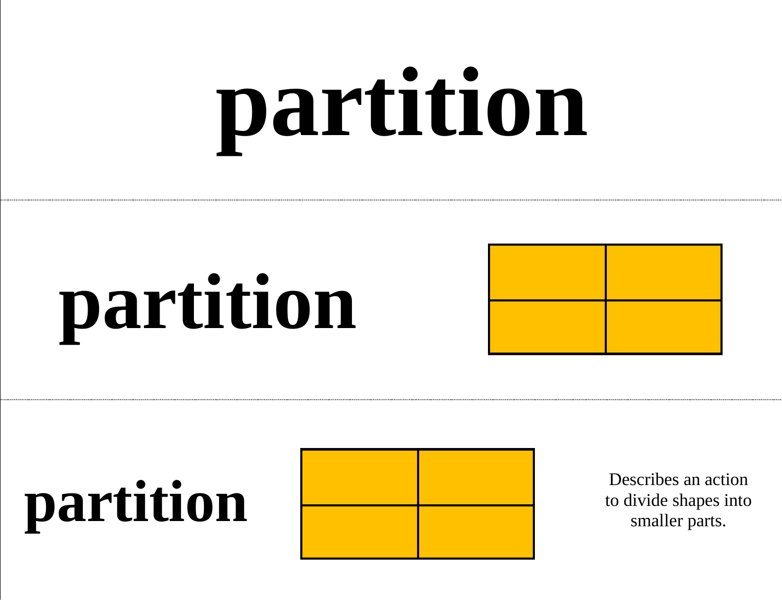## **partition**







to divide shapes into smaller parts.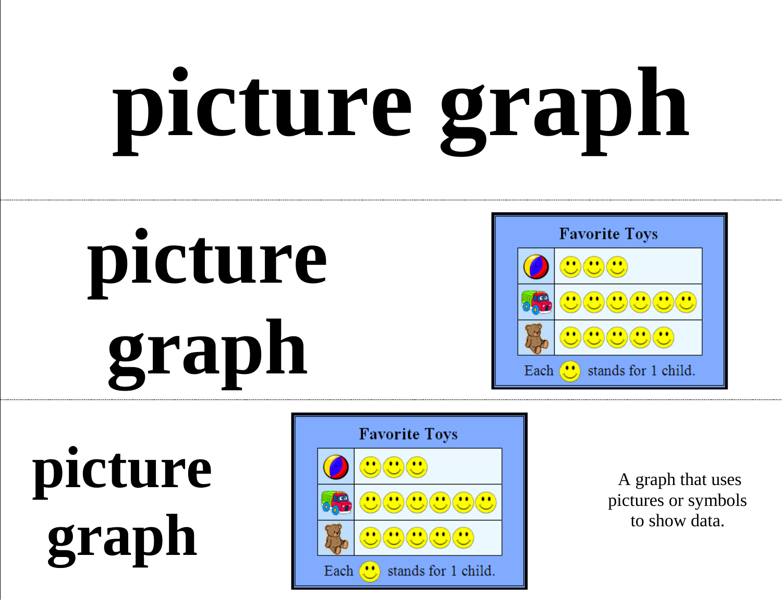# **picture graph**





**picture graph**



A graph that uses pictures or symbols to show data.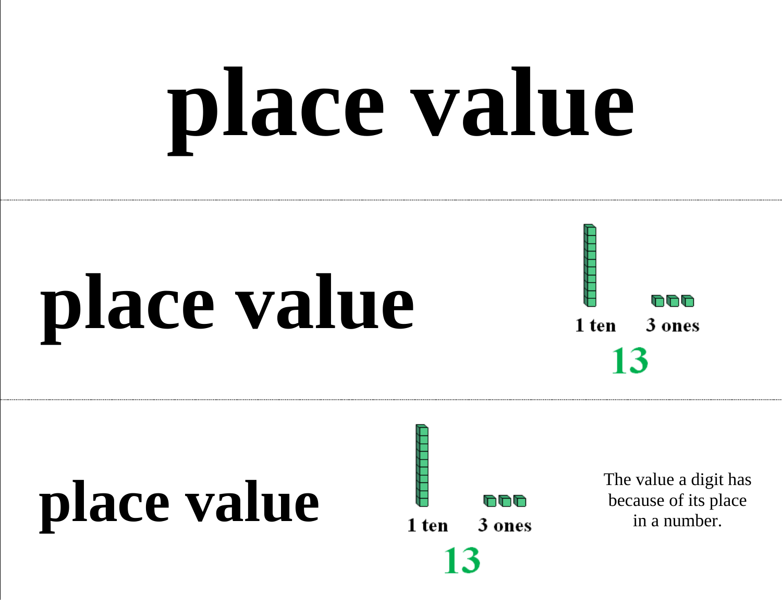# **place value**

### **place value**



### **place value** The value a digit has<br> **place value**<br> **place value**<br> **place value**<br> **place**<br> **place**<br> **place**<br> **place**<br> **place**<br> **place**<br> **place**<br> **place**<br> **place**<br> **place**<br> **place**<br> **place**<br> **place**<br> **place**<br> **place**<br>

13

because of its place in a number.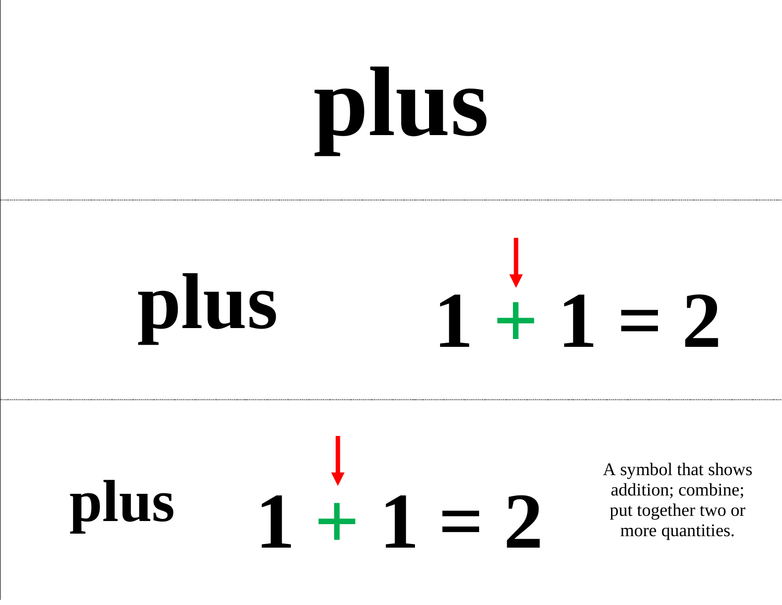## **plus**

#### **plus**  $1 + 1 = 2$

#### **plus**  $1 + 1 = 2$

A symbol that shows addition; combine; put together two or more quantities.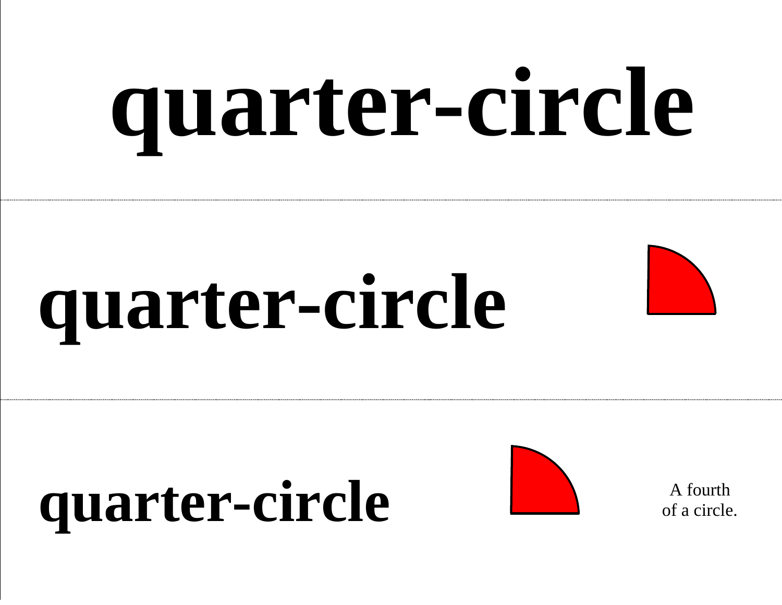# **quarter-circle**

### **quarter-circle**



#### quarter-circle A fourth



of a circle.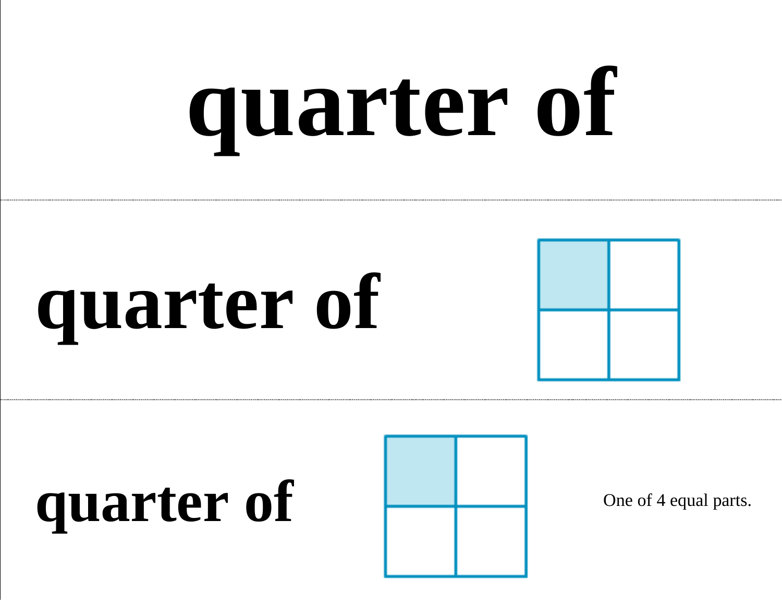# **quarter of**

### **quarter of**

### quarter of a context of the Changes of 4 equal parts.

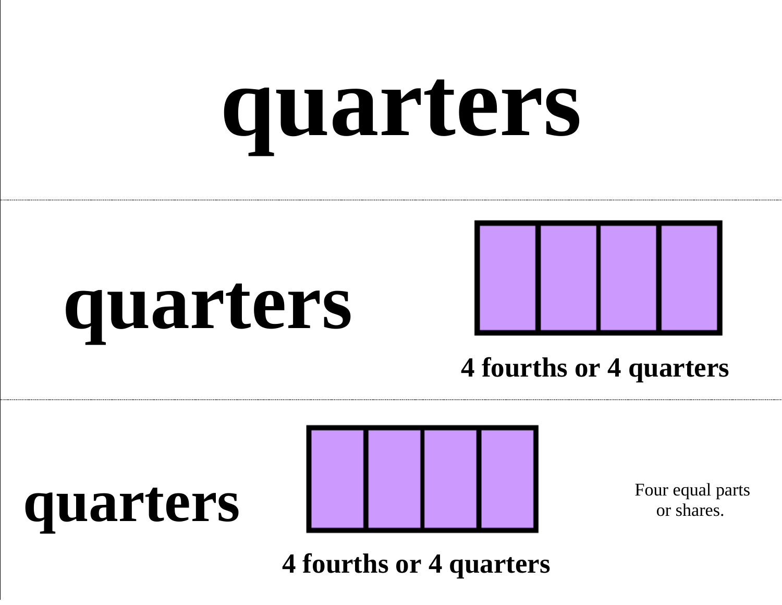### **quarters**





#### **4 fourths or 4 quarters**

#### **quarters**



Four equal parts or shares.

**4 fourths or 4 quarters**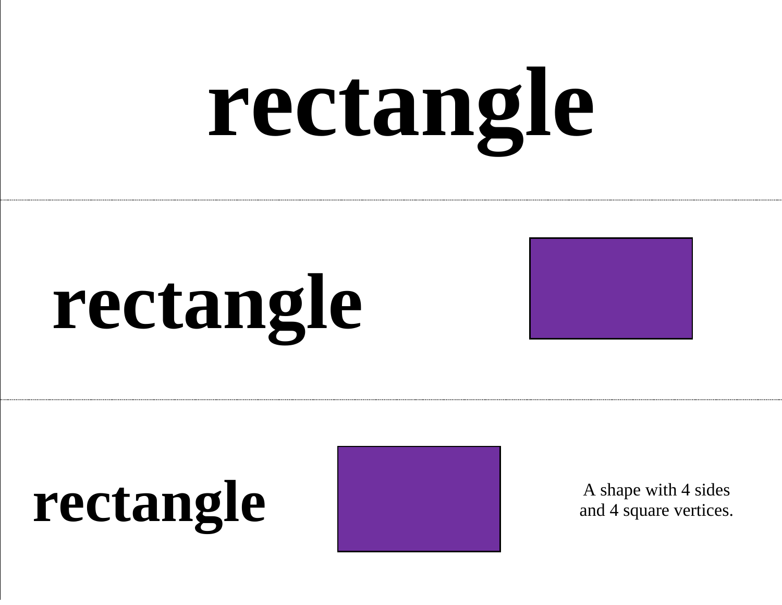# **rectangle**



#### rectangle A shape with 4 sides<br>and 4 square vertices.



and 4 square vertices.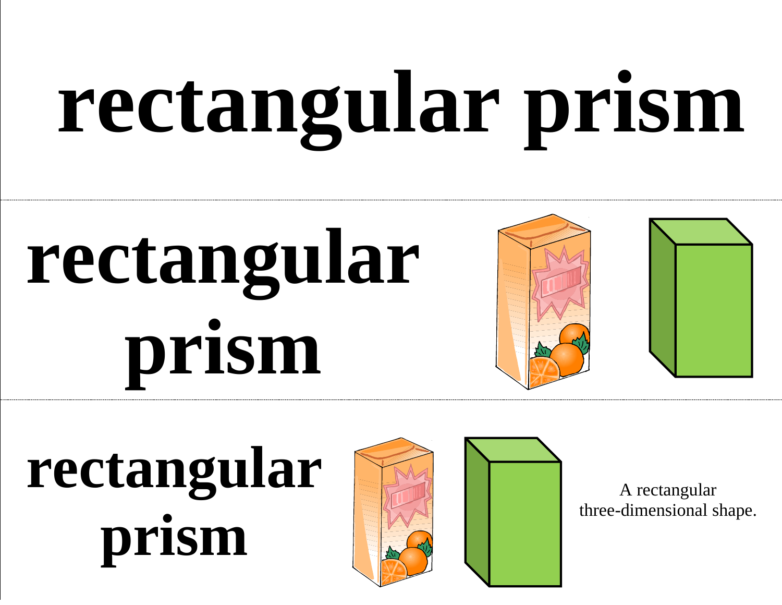## **rectangular prism**

### **rectangular prism**



### **rectangular prism**



A rectangular three-dimensional shape.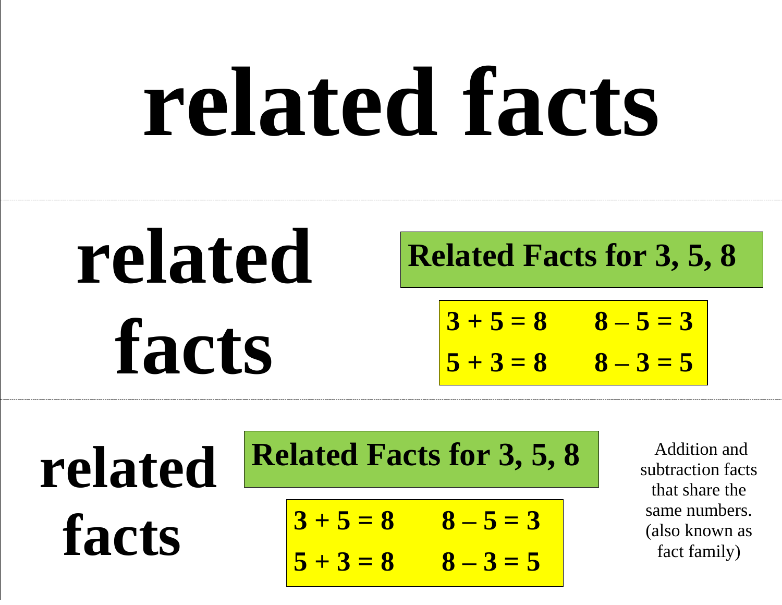### **related facts**

### **related facts**

**Related Facts for 3, 5, 8**

$$
3+5=8 \t 8-5=3
$$
  

$$
5+3=8 \t 8-3=5
$$

**related facts**

**Related Facts for 3, 5, 8**

$$
3 + 5 = 8 \qquad 8 - 5 = 3
$$

$$
5 + 3 = 8
$$
  $8 - 3 = 5$ 

Addition and subtraction facts that share the same numbers. (also known as fact family)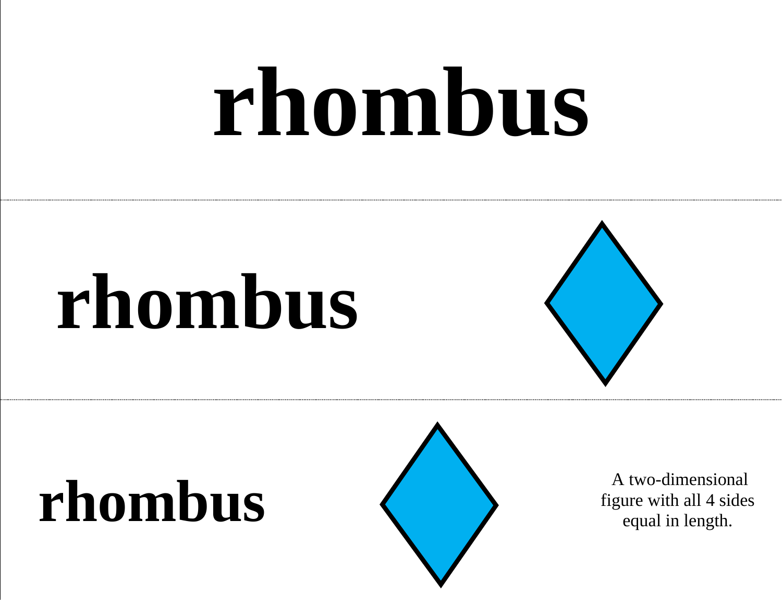### **rhombus**

### **rhombus**



#### **rhombus** A two-dimensional figure with all 4 sides



figure with all 4 sides equal in length.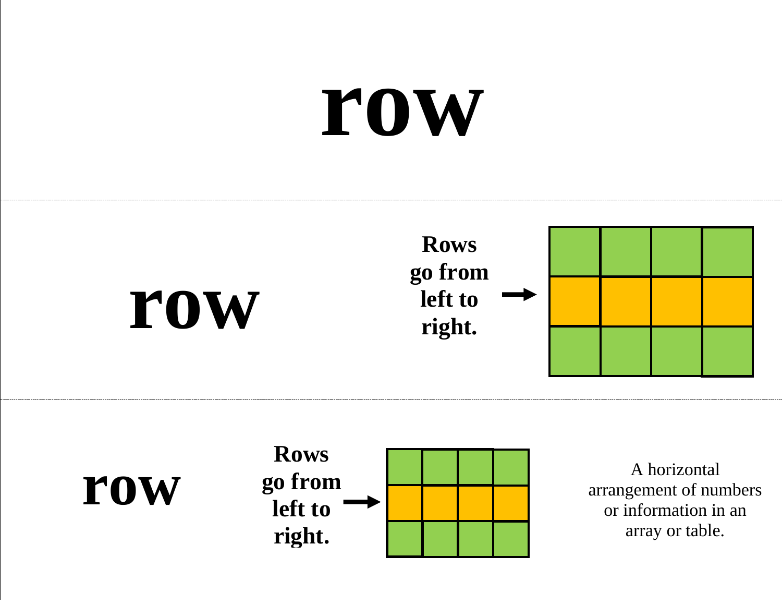### **row**







A horizontal arrangement of numbers or information in an array or table.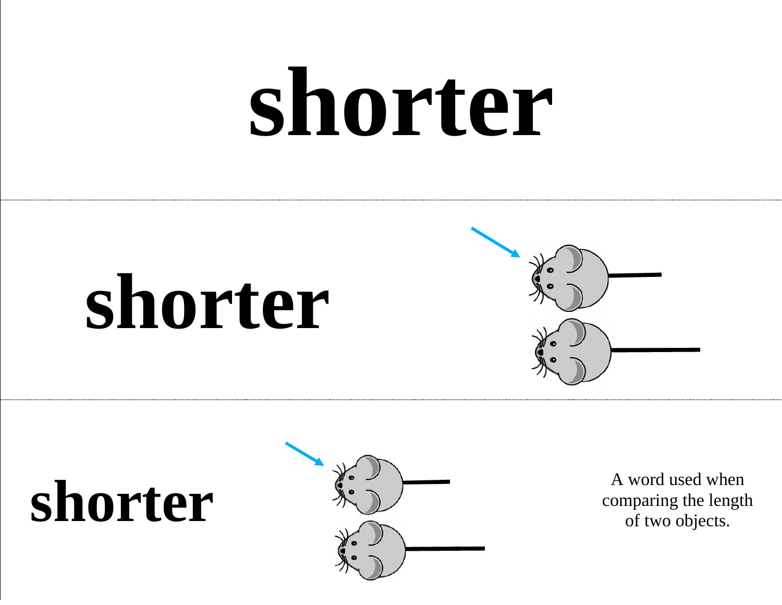### **shorter**







comparing the length of two objects.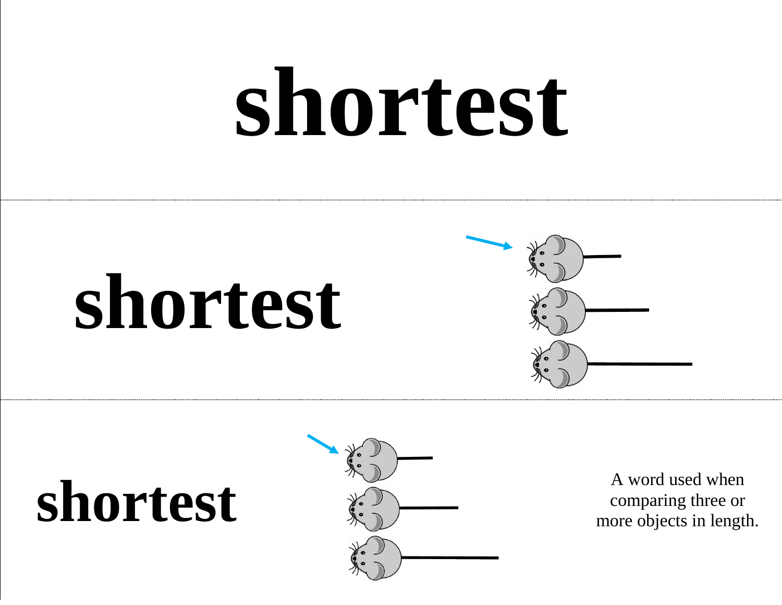### **shortest**





#### **shortest** A word used when<br>  $\sum_{n=1}^{\infty}$  A word used when<br>  $\sum_{n=1}^{\infty}$  A word used when



comparing three or more objects in length.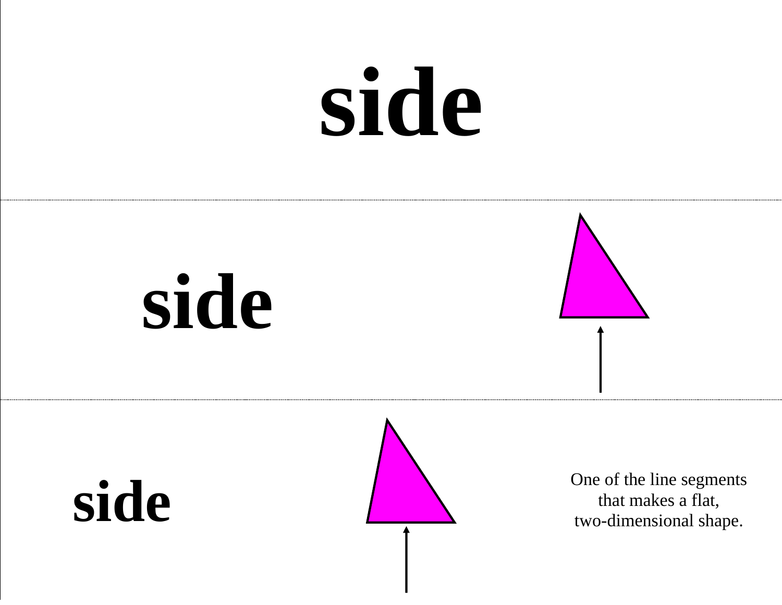### **side**

### **side**





side Side Side of the line segments that makes a flat, that makes a flat, two-dimensional shape.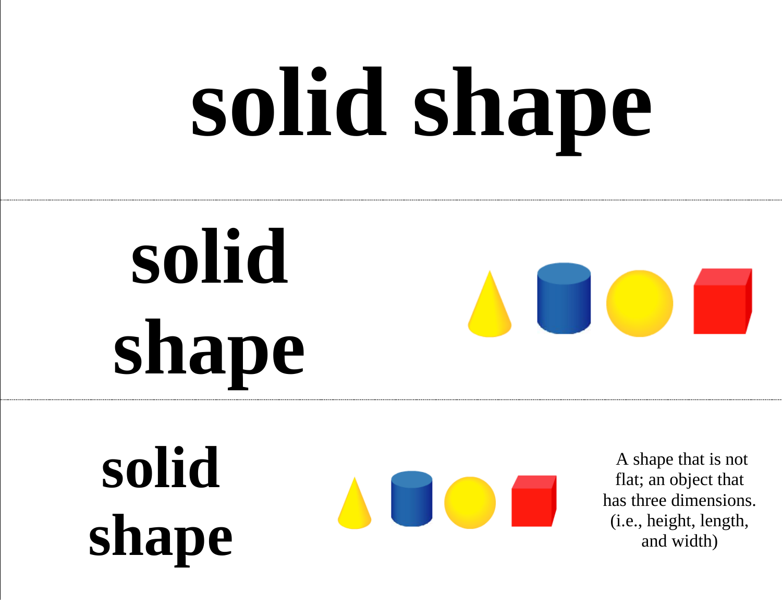# **solid shape**

### **solid shape**



#### **solid shape**

A shape that is not flat; an object that has three dimensions. (i.e., height, length, and width)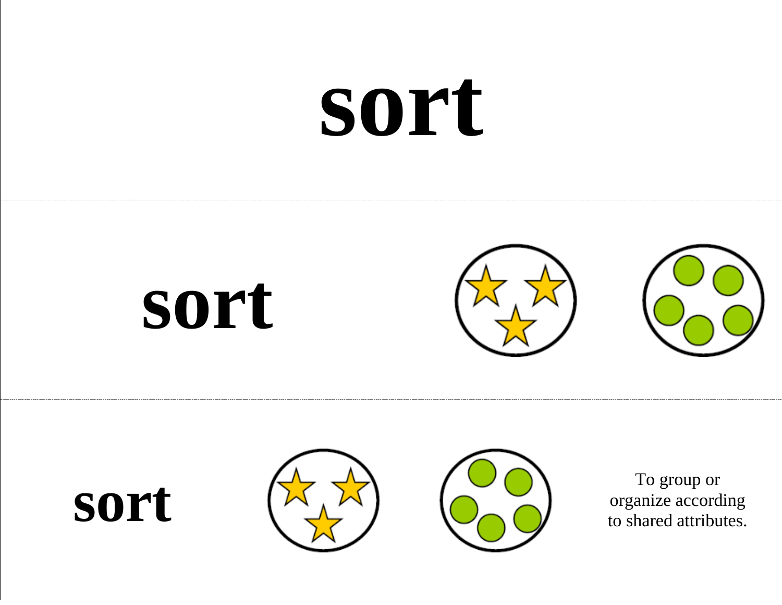### **sort**







organize according to shared attributes.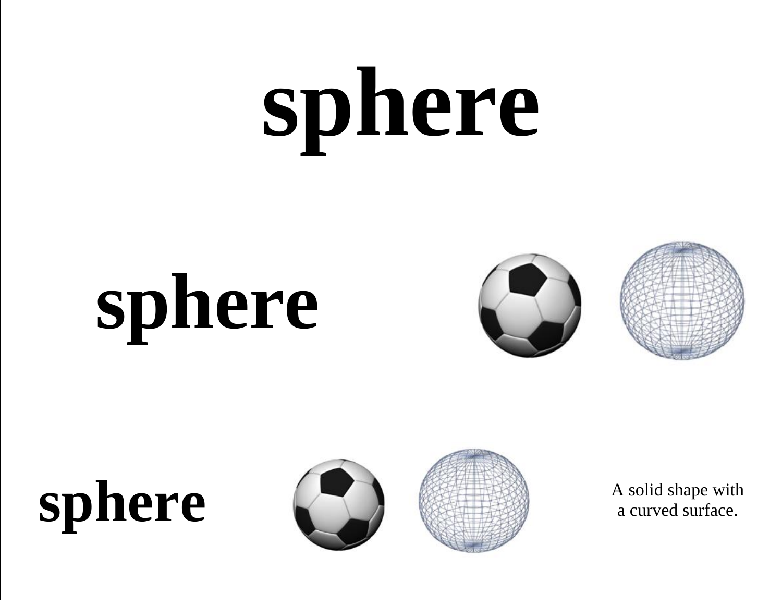# **sphere**









a curved surface.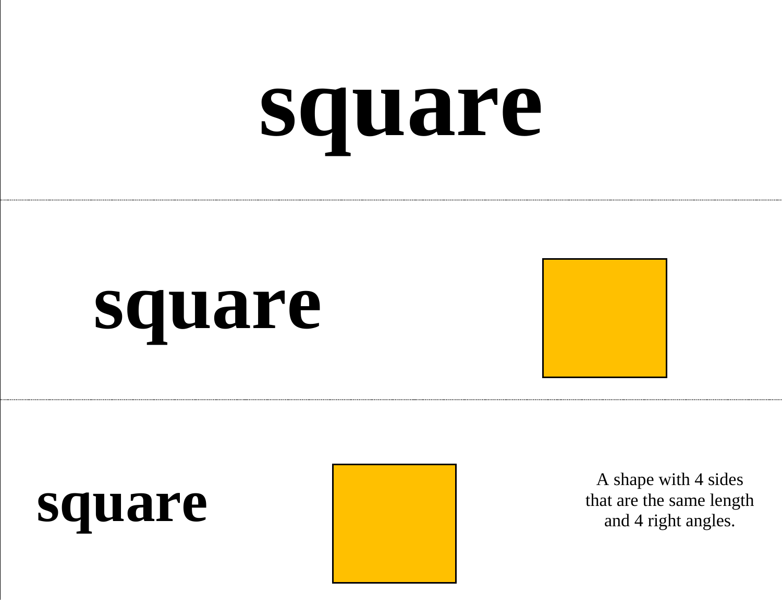### **square**



#### **square**

#### **square**



A shape with 4 sides that are the same length and 4 right angles.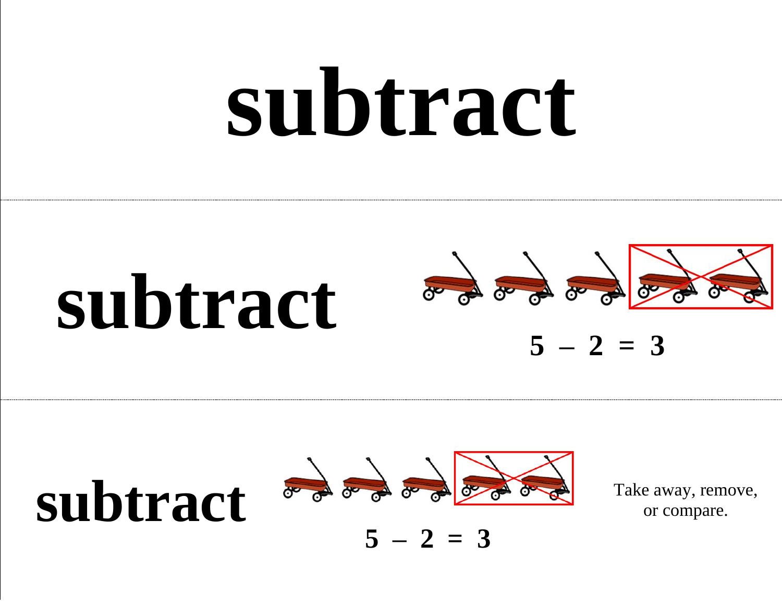### **subtract**







Take away, remove, or compare.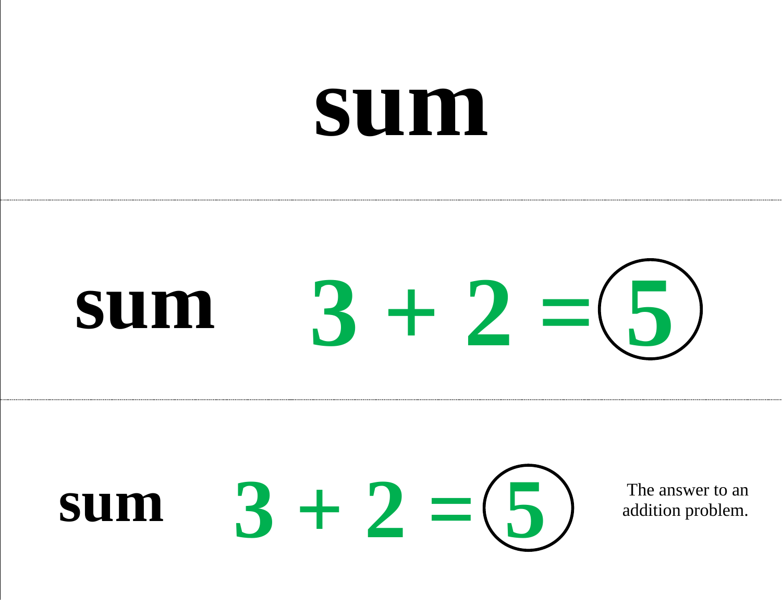#### **sum**

#### **sum 3 + 2 = 5**



addition problem.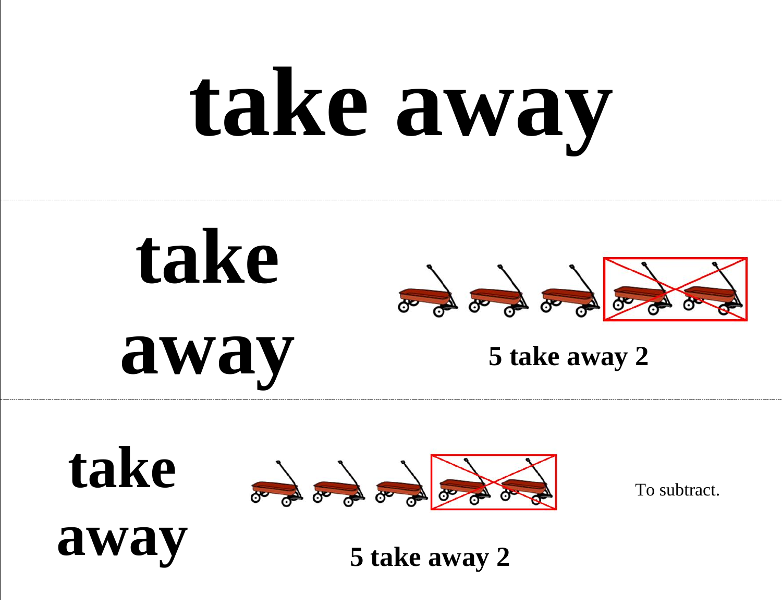## **take away**





To subtract.

**away**

**5 take away 2**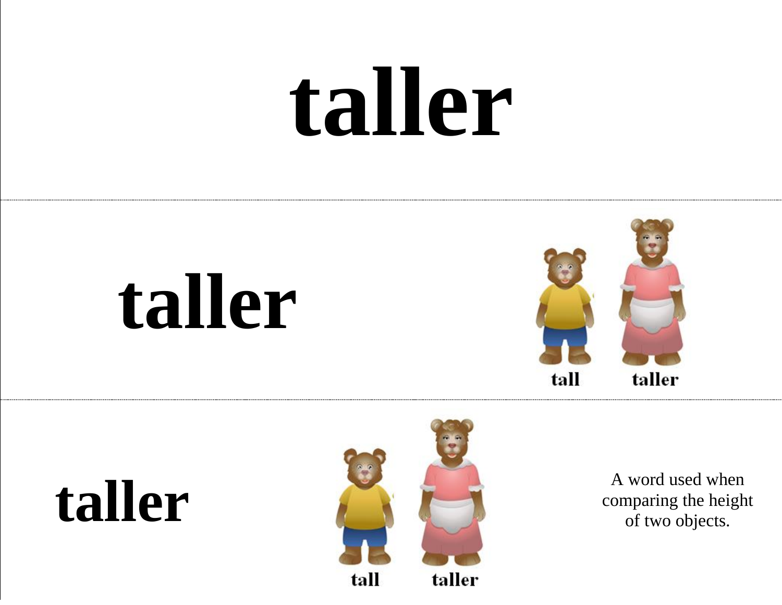### **taller**

### **taller**





comparing the height of two objects.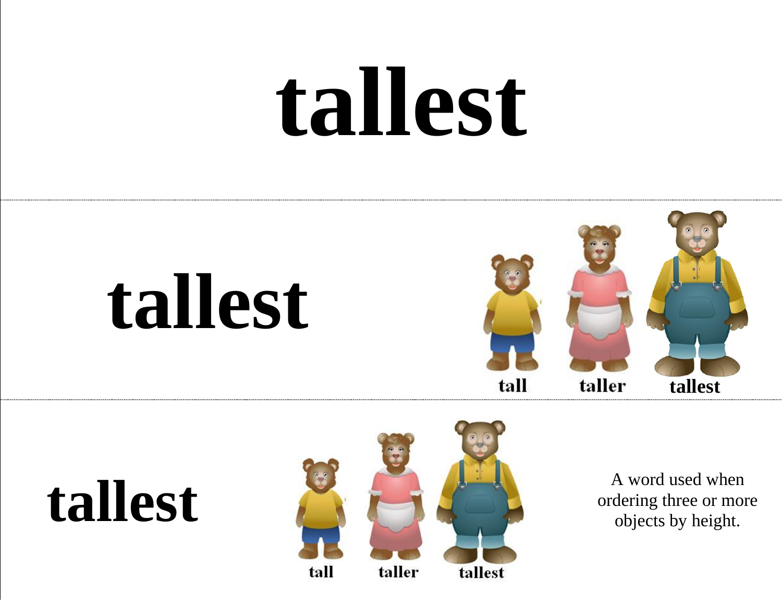### **tallest**







ordering three or more objects by height.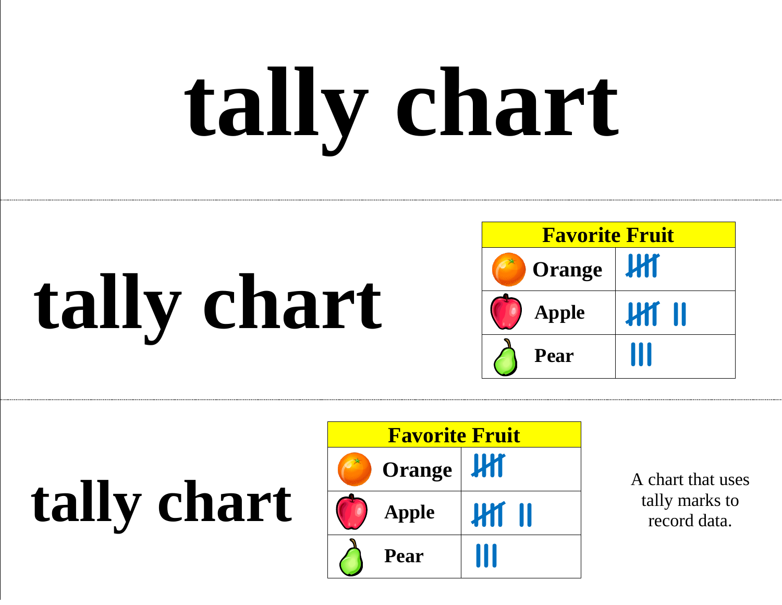# **tally chart**

### **tally chart**



**tally chart**



A chart that uses tally marks to record data.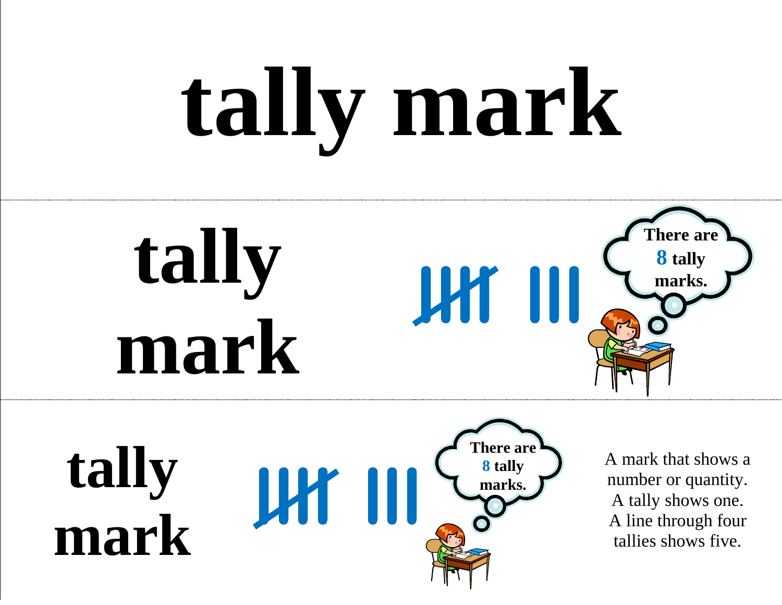# **tally mark**



**tally mark llll lll There are 8 tally marks.** 

A mark that shows a number or quantity. A tally shows one. A line through four tallies shows five.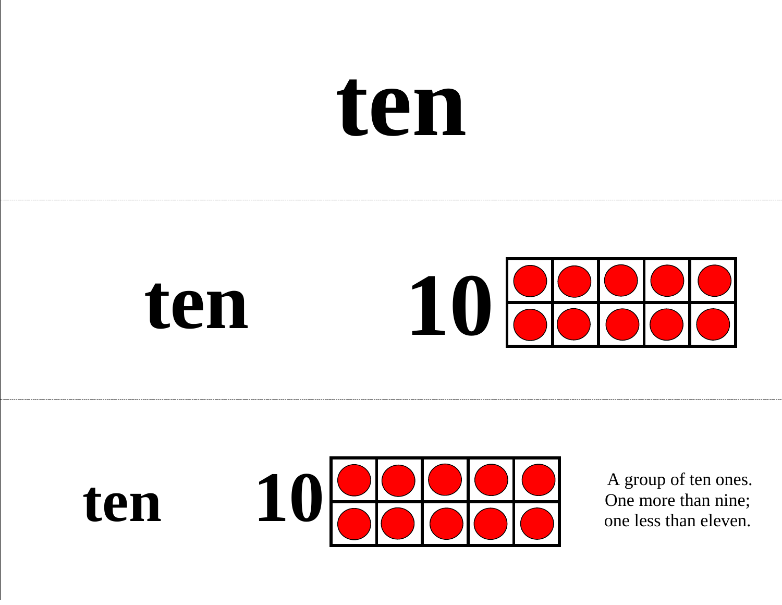### **ten**



#### ten 10 **COO** A group of ten ones.<br>One more than nine;<br>one less than eleven. **10**

One more than nine; one less than eleven.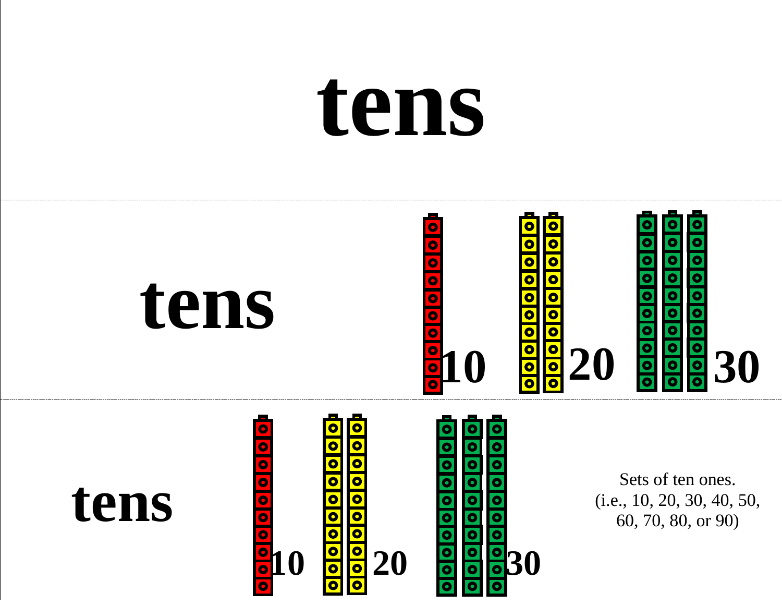### **tens**



 $10$  **30** 20 **30** 30

(i.e., 10, 20, 30, 40, 50, 60, 70, 80, or 90)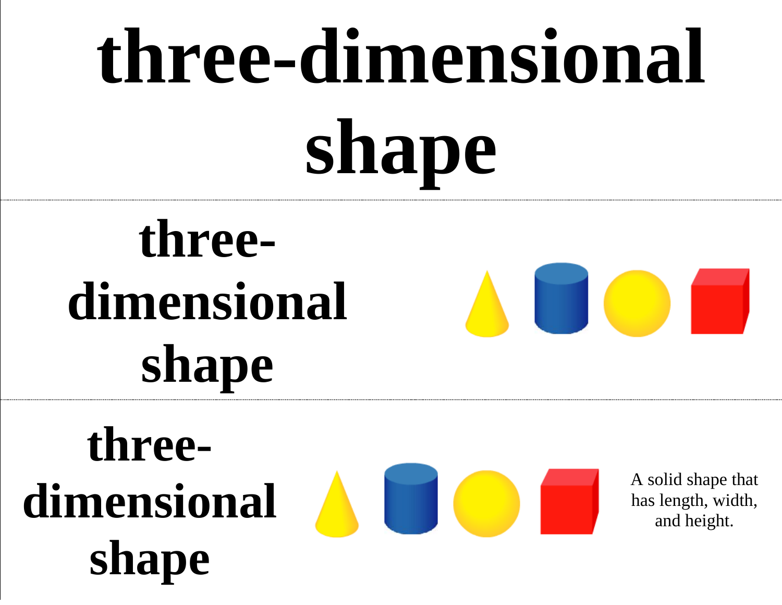### **three-dimensional shape**

#### **threedimensional shape**

#### **threedimensional shape**



A solid shape that has length, width, and height.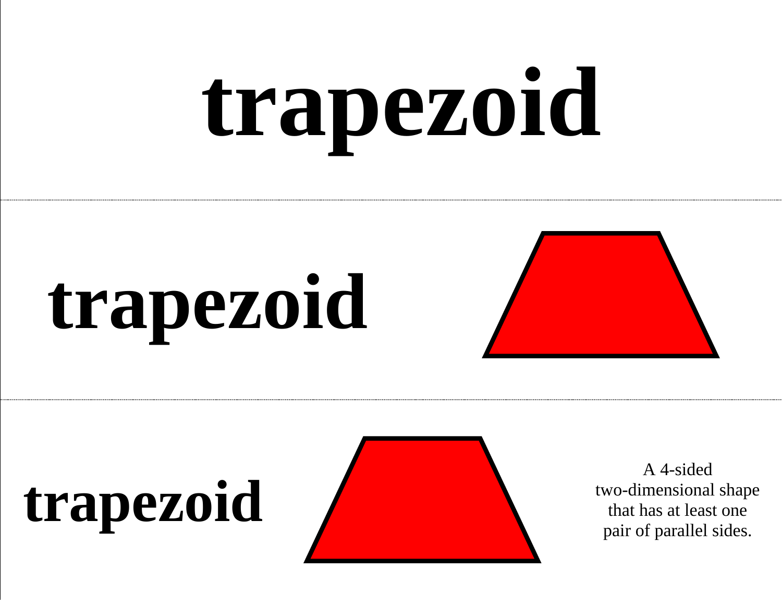# **trapezoid**

### **trapezoid**



### **trapezoid**



A 4-sided two-dimensional shape that has at least one pair of parallel sides.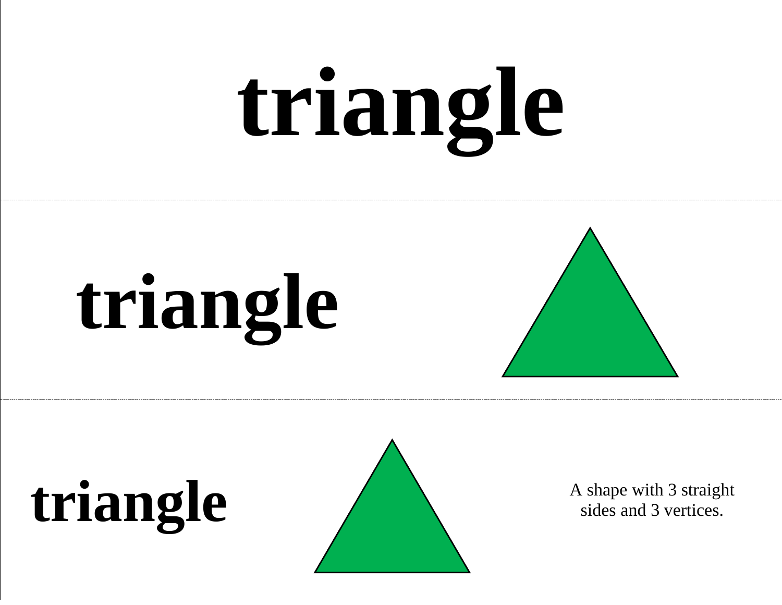# **triangle**









sides and 3 vertices.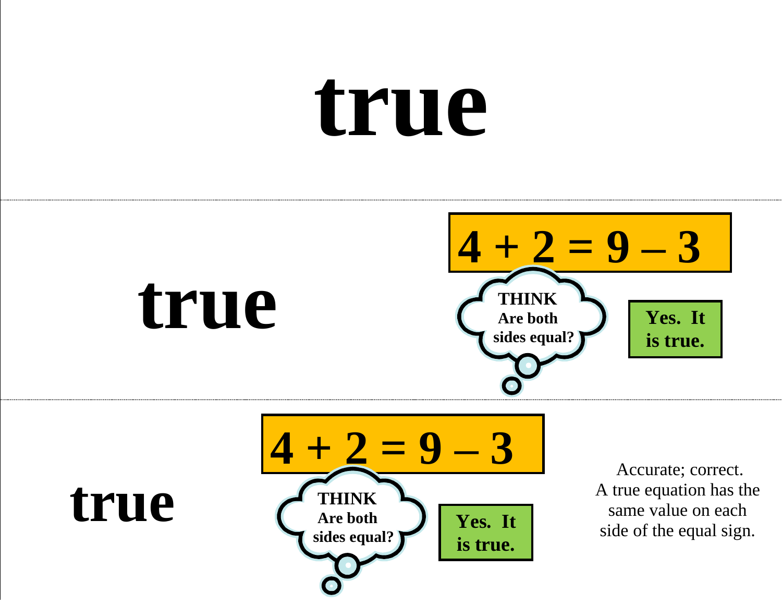### **true**







Accurate; correct. A true equation has the same value on each side of the equal sign.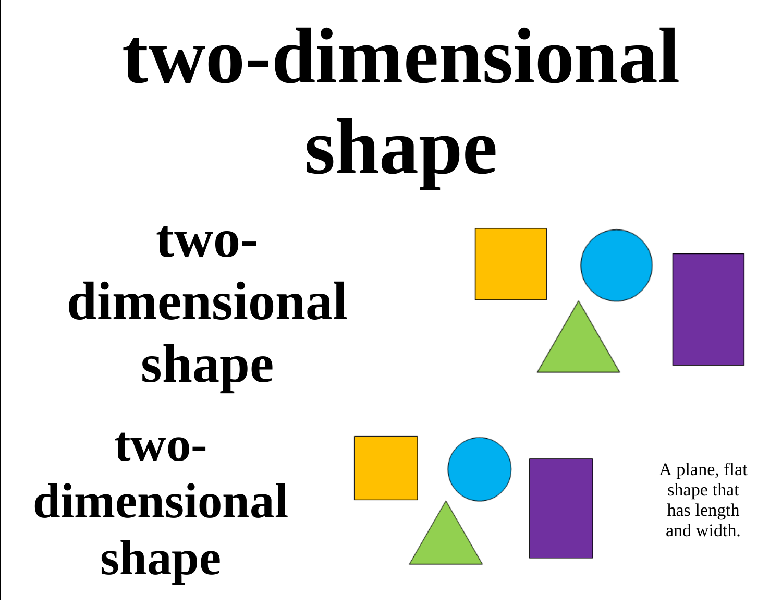### **two-dimensional shape**

#### **twodimensional shape**



**twodimensional shape**



A plane, flat shape that has length and width.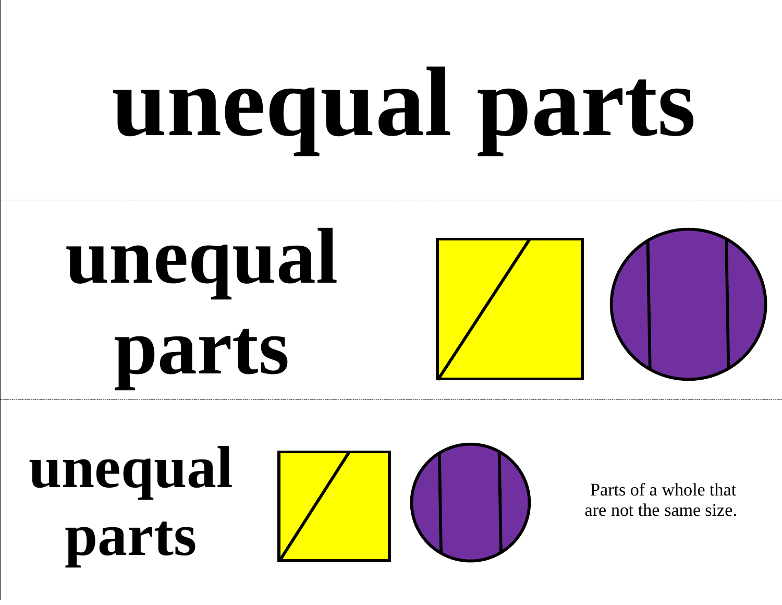# **unequal parts**



**unequal parts**



Parts of a whole that are not the same size.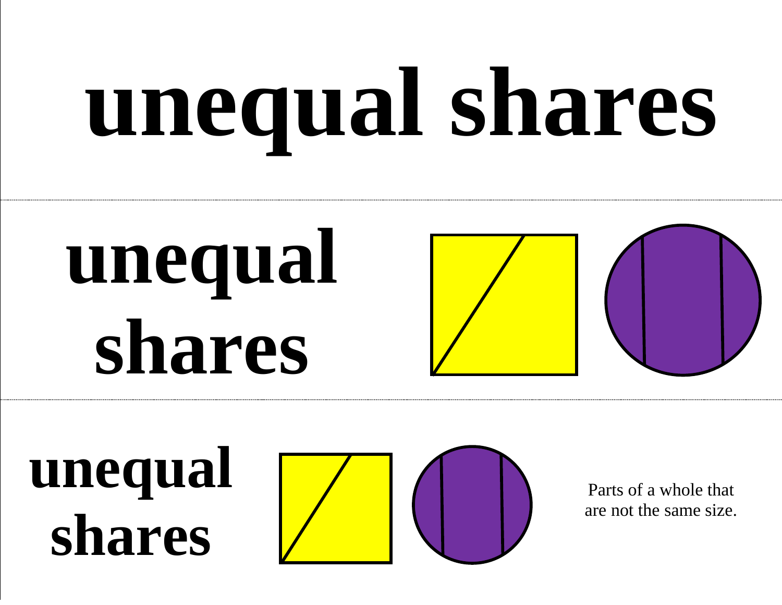# **unequal shares**

### **unequal shares**



**unequal shares**



Parts of a whole that are not the same size.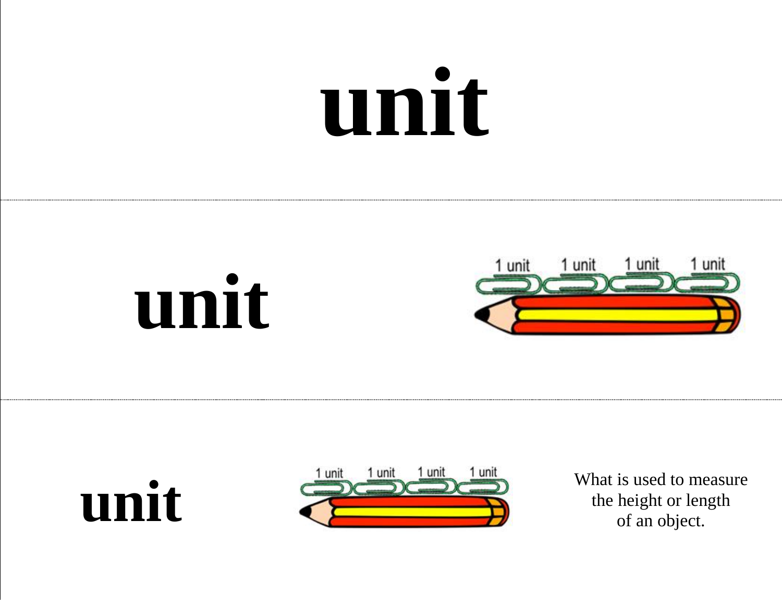### **unit**









the height or length of an object.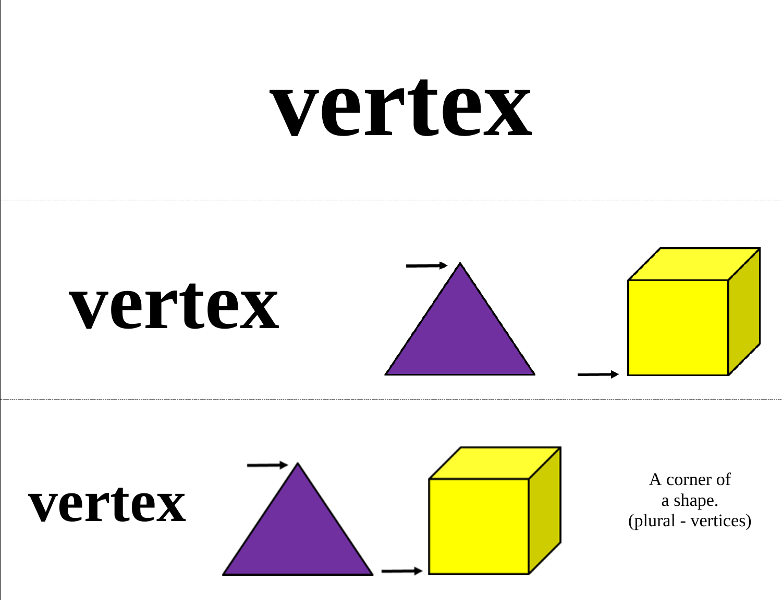### **vertex**



#### **vertex**



A corner of a shape. (plural - vertices)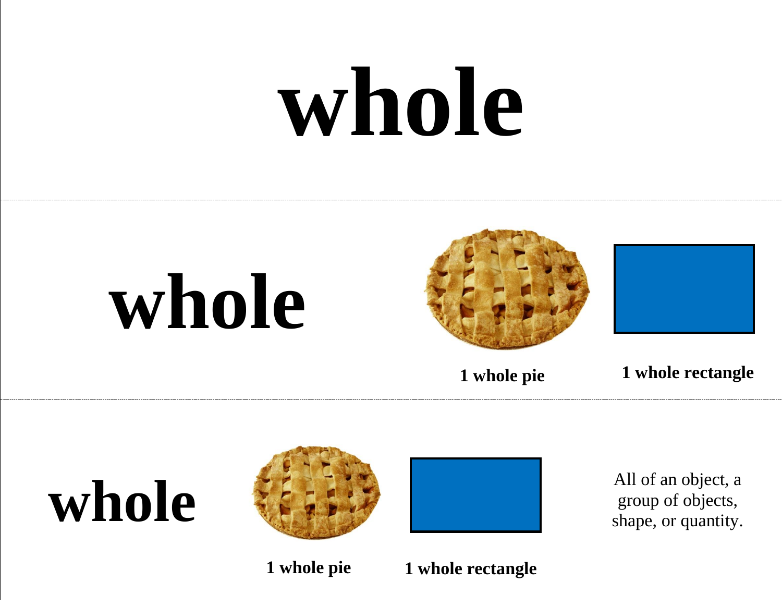### **whole**







**1 whole pie 1 whole rectangle**





group of objects, shape, or quantity.

**1 whole pie 1 whole rectangle**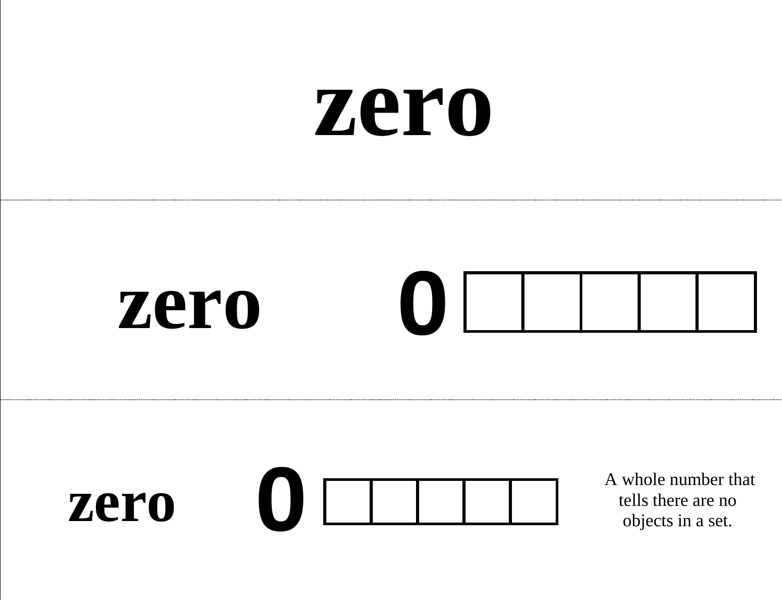#### **zero**



#### **zero 0**

A whole number that tells there are no objects in a set.